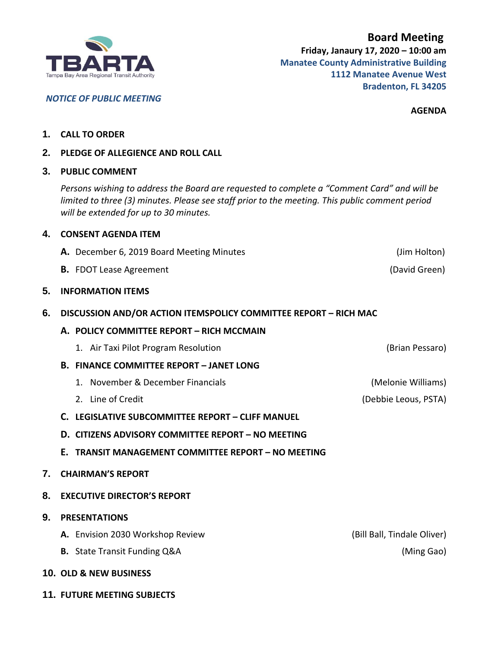

 **Board Meeting Friday, Janaury 17, 2020 – 10:00 am Manatee County Administrative Building 1112 Manatee Avenue West Bradenton, FL 34205**

**AGENDA**

- **1. CALL TO ORDER**
- **2. PLEDGE OF ALLEGIENCE AND ROLL CALL**

## **3. PUBLIC COMMENT**

*Persons wishing to address the Board are requested to complete a "Comment Card" and will be limited to three (3) minutes. Please see staff prior to the meeting. This public comment period will be extended for up to 30 minutes.*

| 4. | <b>CONSENT AGENDA ITEM</b>                                       |                             |  |
|----|------------------------------------------------------------------|-----------------------------|--|
|    | A. December 6, 2019 Board Meeting Minutes                        | (Jim Holton)                |  |
|    | <b>B.</b> FDOT Lease Agreement                                   | (David Green)               |  |
| 5. | <b>INFORMATION ITEMS</b>                                         |                             |  |
| 6. | DISCUSSION AND/OR ACTION ITEMSPOLICY COMMITTEE REPORT - RICH MAC |                             |  |
|    | A. POLICY COMMITTEE REPORT - RICH MCCMAIN                        |                             |  |
|    | 1. Air Taxi Pilot Program Resolution                             | (Brian Pessaro)             |  |
|    | <b>B. FINANCE COMMITTEE REPORT - JANET LONG</b>                  |                             |  |
|    | 1. November & December Financials                                | (Melonie Williams)          |  |
|    | 2. Line of Credit                                                | (Debbie Leous, PSTA)        |  |
|    | C. LEGISLATIVE SUBCOMMITTEE REPORT - CLIFF MANUEL                |                             |  |
|    | D. CITIZENS ADVISORY COMMITTEE REPORT - NO MEETING               |                             |  |
|    | <b>TRANSIT MANAGEMENT COMMITTEE REPORT - NO MEETING</b><br>Е.    |                             |  |
| 7. | <b>CHAIRMAN'S REPORT</b>                                         |                             |  |
| 8. | <b>EXECUTIVE DIRECTOR'S REPORT</b>                               |                             |  |
| 9. | <b>PRESENTATIONS</b>                                             |                             |  |
|    | A. Envision 2030 Workshop Review                                 | (Bill Ball, Tindale Oliver) |  |
|    | <b>B.</b> State Transit Funding Q&A                              | (Ming Gao)                  |  |
|    | <b>10. OLD &amp; NEW BUSINESS</b>                                |                             |  |

**11. FUTURE MEETING SUBJECTS**